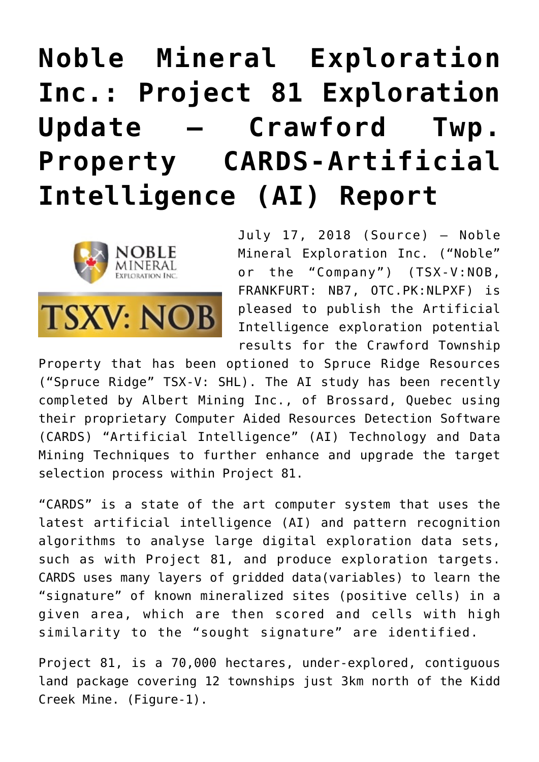# **[Noble Mineral Exploration](https://investorintel.com/markets/gold-silver-base-metals/gold-precious-metals-news/noble-mineral-exploration-inc-project-81-exploration-update-crawford-twp-property-cards-artificial-intelligence-ai-report/) [Inc.: Project 81 Exploration](https://investorintel.com/markets/gold-silver-base-metals/gold-precious-metals-news/noble-mineral-exploration-inc-project-81-exploration-update-crawford-twp-property-cards-artificial-intelligence-ai-report/) [Update – Crawford Twp.](https://investorintel.com/markets/gold-silver-base-metals/gold-precious-metals-news/noble-mineral-exploration-inc-project-81-exploration-update-crawford-twp-property-cards-artificial-intelligence-ai-report/) [Property CARDS-Artificial](https://investorintel.com/markets/gold-silver-base-metals/gold-precious-metals-news/noble-mineral-exploration-inc-project-81-exploration-update-crawford-twp-property-cards-artificial-intelligence-ai-report/) [Intelligence \(AI\) Report](https://investorintel.com/markets/gold-silver-base-metals/gold-precious-metals-news/noble-mineral-exploration-inc-project-81-exploration-update-crawford-twp-property-cards-artificial-intelligence-ai-report/)**



July 17, 2018 ([Source](https://investorintel.com/iintel-members/noble-mineral-exploration-inc/)) — Noble Mineral Exploration Inc. ("Noble" or the "Company") (TSX-V:NOB, FRANKFURT: NB7, OTC.PK:NLPXF) is pleased to publish the Artificial Intelligence exploration potential results for the Crawford Township

Property that has been optioned to Spruce Ridge Resources ("Spruce Ridge" TSX-V: SHL). The AI study has been recently completed by Albert Mining Inc., of Brossard, Quebec using their proprietary Computer Aided Resources Detection Software (CARDS) "Artificial Intelligence" (AI) Technology and Data Mining Techniques to further enhance and upgrade the target selection process within Project 81.

"CARDS" is a state of the art computer system that uses the latest artificial intelligence (AI) and pattern recognition algorithms to analyse large digital exploration data sets, such as with Project 81, and produce exploration targets. CARDS uses many layers of gridded data(variables) to learn the "signature" of known mineralized sites (positive cells) in a given area, which are then scored and cells with high similarity to the "sought signature" are identified.

Project 81, is a 70,000 hectares, under-explored, contiguous land package covering 12 townships just 3km north of the Kidd Creek Mine. (Figure-1).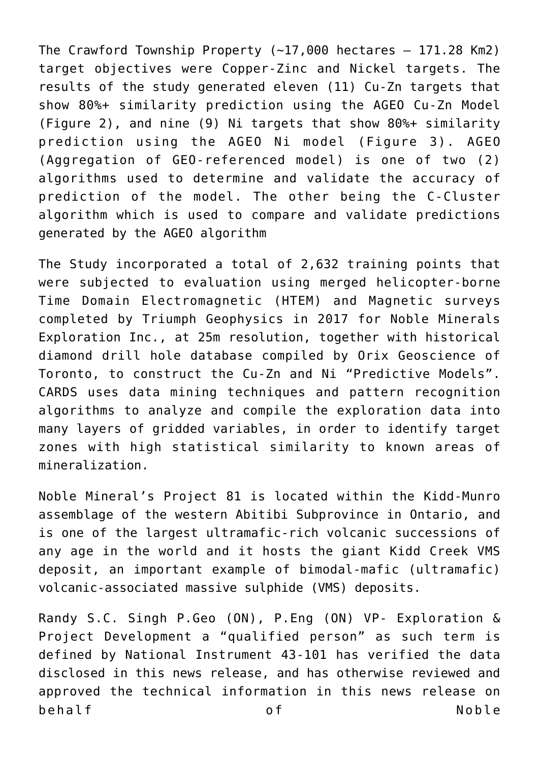The Crawford Township Property  $(-17,000$  hectares  $-171.28$  Km2) target objectives were Copper-Zinc and Nickel targets. The results of the study generated eleven (11) Cu-Zn targets that show 80%+ similarity prediction using the AGEO Cu-Zn Model (Figure 2), and nine (9) Ni targets that show 80%+ similarity prediction using the AGEO Ni model (Figure 3). AGEO (Aggregation of GEO-referenced model) is one of two (2) algorithms used to determine and validate the accuracy of prediction of the model. The other being the C-Cluster algorithm which is used to compare and validate predictions generated by the AGEO algorithm

The Study incorporated a total of 2,632 training points that were subjected to evaluation using merged helicopter-borne Time Domain Electromagnetic (HTEM) and Magnetic surveys completed by Triumph Geophysics in 2017 for Noble Minerals Exploration Inc., at 25m resolution, together with historical diamond drill hole database compiled by Orix Geoscience of Toronto, to construct the Cu-Zn and Ni "Predictive Models". CARDS uses data mining techniques and pattern recognition algorithms to analyze and compile the exploration data into many layers of gridded variables, in order to identify target zones with high statistical similarity to known areas of mineralization.

Noble Mineral's Project 81 is located within the Kidd-Munro assemblage of the western Abitibi Subprovince in Ontario, and is one of the largest ultramafic-rich volcanic successions of any age in the world and it hosts the giant Kidd Creek VMS deposit, an important example of bimodal-mafic (ultramafic) volcanic-associated massive sulphide (VMS) deposits.

Randy S.C. Singh P.Geo (ON), P.Eng (ON) VP- Exploration & Project Development a "qualified person" as such term is defined by National Instrument 43-101 has verified the data disclosed in this news release, and has otherwise reviewed and approved the technical information in this news release on behalf of Noble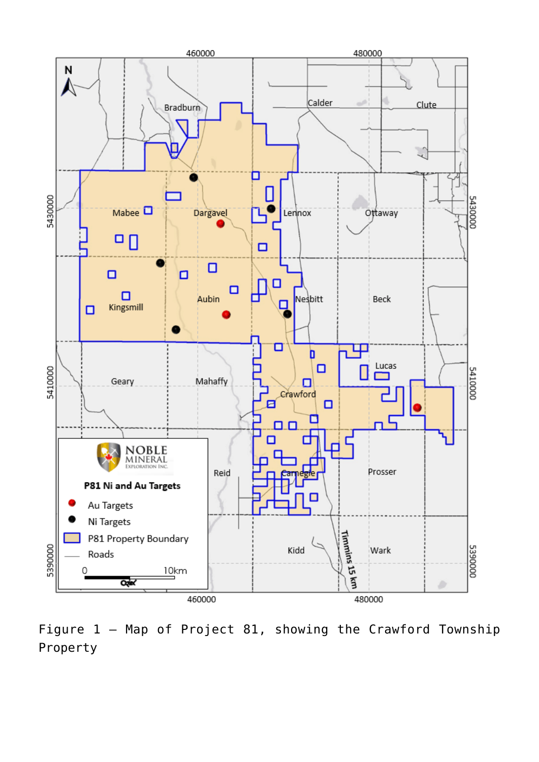

Figure 1 – Map of Project 81, showing the Crawford Township Property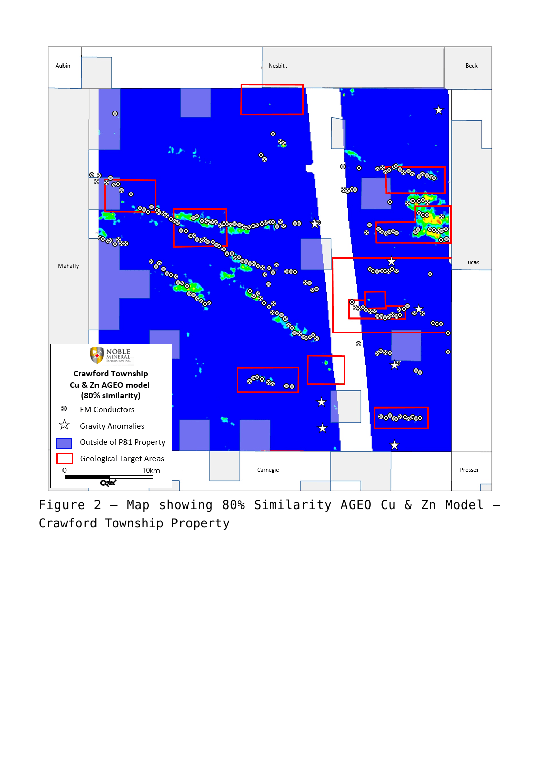

Figure 2 – Map showing 80% Similarity AGEO Cu & Zn Model – Crawford Township Property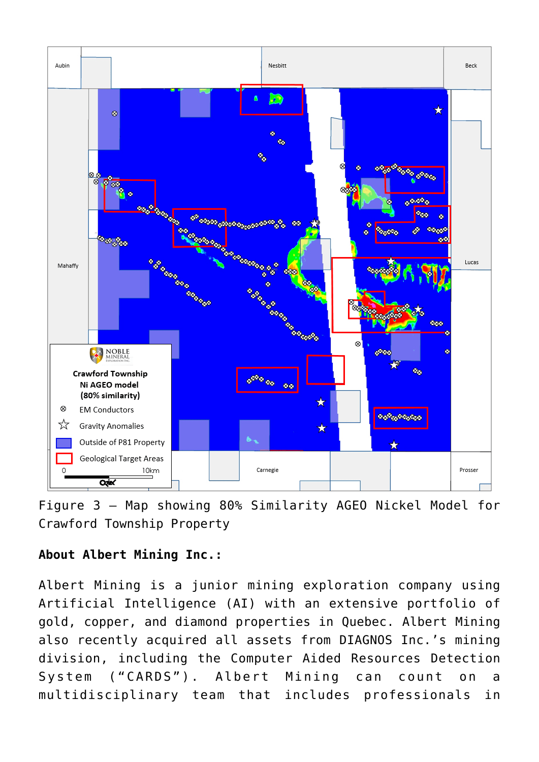

Figure 3 – Map showing 80% Similarity AGEO Nickel Model for Crawford Township Property

## **About Albert Mining Inc.:**

Albert Mining is a junior mining exploration company using Artificial Intelligence (AI) with an extensive portfolio of gold, copper, and diamond properties in Quebec. Albert Mining also recently acquired all assets from DIAGNOS Inc.'s mining division, including the Computer Aided Resources Detection System ("CARDS"). Albert Mining can count on a multidisciplinary team that includes professionals in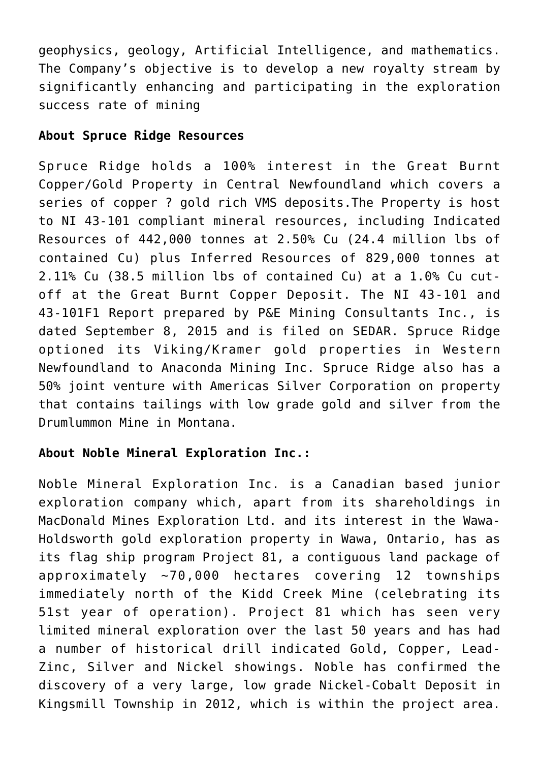geophysics, geology, Artificial Intelligence, and mathematics. The Company's objective is to develop a new royalty stream by significantly enhancing and participating in the exploration success rate of mining

#### **About Spruce Ridge Resources**

Spruce Ridge holds a 100% interest in the Great Burnt Copper/Gold Property in Central Newfoundland which covers a series of copper ? gold rich VMS deposits.The Property is host to NI 43-101 compliant mineral resources, including Indicated Resources of 442,000 tonnes at 2.50% Cu (24.4 million lbs of contained Cu) plus Inferred Resources of 829,000 tonnes at 2.11% Cu (38.5 million lbs of contained Cu) at a 1.0% Cu cutoff at the Great Burnt Copper Deposit. The NI 43-101 and 43-101F1 Report prepared by P&E Mining Consultants Inc., is dated September 8, 2015 and is filed on SEDAR. Spruce Ridge optioned its Viking/Kramer gold properties in Western Newfoundland to Anaconda Mining Inc. Spruce Ridge also has a 50% joint venture with Americas Silver Corporation on property that contains tailings with low grade gold and silver from the Drumlummon Mine in Montana.

### **About Noble Mineral Exploration Inc.:**

Noble Mineral Exploration Inc. is a Canadian based junior exploration company which, apart from its shareholdings in MacDonald Mines Exploration Ltd. and its interest in the Wawa-Holdsworth gold exploration property in Wawa, Ontario, has as its flag ship program Project 81, a contiguous land package of approximately  $~10,000$  hectares covering 12 townships immediately north of the Kidd Creek Mine (celebrating its 51st year of operation). Project 81 which has seen very limited mineral exploration over the last 50 years and has had a number of historical drill indicated Gold, Copper, Lead-Zinc, Silver and Nickel showings. Noble has confirmed the discovery of a very large, low grade Nickel-Cobalt Deposit in Kingsmill Township in 2012, which is within the project area.